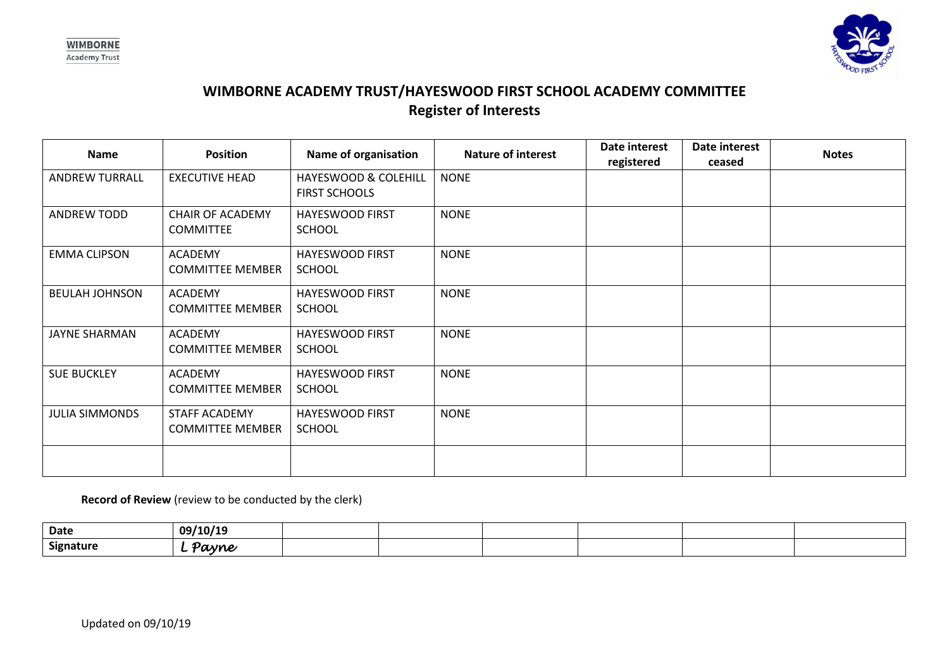



## **WIMBORNE ACADEMY TRUST/HAYESWOOD FIRST SCHOOL ACADEMY COMMITTEE Register of Interests**

| Name                  | <b>Position</b>                             | Name of organisation                         | <b>Nature of interest</b> | Date interest<br>registered | Date interest<br>ceased | <b>Notes</b> |
|-----------------------|---------------------------------------------|----------------------------------------------|---------------------------|-----------------------------|-------------------------|--------------|
| <b>ANDREW TURRALL</b> | <b>EXECUTIVE HEAD</b>                       | HAYESWOOD & COLEHILL<br><b>FIRST SCHOOLS</b> | <b>NONE</b>               |                             |                         |              |
| <b>ANDREW TODD</b>    | <b>CHAIR OF ACADEMY</b><br><b>COMMITTEE</b> | <b>HAYESWOOD FIRST</b><br><b>SCHOOL</b>      | <b>NONE</b>               |                             |                         |              |
| <b>EMMA CLIPSON</b>   | <b>ACADEMY</b><br><b>COMMITTEE MEMBER</b>   | <b>HAYESWOOD FIRST</b><br><b>SCHOOL</b>      | <b>NONE</b>               |                             |                         |              |
| <b>BEULAH JOHNSON</b> | ACADEMY<br><b>COMMITTEE MEMBER</b>          | <b>HAYESWOOD FIRST</b><br><b>SCHOOL</b>      | <b>NONE</b>               |                             |                         |              |
| <b>JAYNE SHARMAN</b>  | <b>ACADEMY</b><br><b>COMMITTEE MEMBER</b>   | HAYESWOOD FIRST<br><b>SCHOOL</b>             | <b>NONE</b>               |                             |                         |              |
| <b>SUE BUCKLEY</b>    | <b>ACADEMY</b><br><b>COMMITTEE MEMBER</b>   | HAYESWOOD FIRST<br><b>SCHOOL</b>             | <b>NONE</b>               |                             |                         |              |
| <b>JULIA SIMMONDS</b> | STAFF ACADEMY<br><b>COMMITTEE MEMBER</b>    | <b>HAYESWOOD FIRST</b><br><b>SCHOOL</b>      | <b>NONE</b>               |                             |                         |              |
|                       |                                             |                                              |                           |                             |                         |              |

**Record of Review** (review to be conducted by the clerk)

| Date      | 09/10/19        |  |  |  |
|-----------|-----------------|--|--|--|
| Signature | Payne<br>$\sim$ |  |  |  |